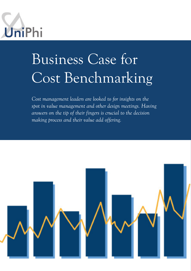

### Business Case for Cost Benchmarking

*Cost management leaders are looked to for insights on the spot in value management and other design meetings. Having answers on the tip of their fingers is crucial to the decision making process and their value add offering.*

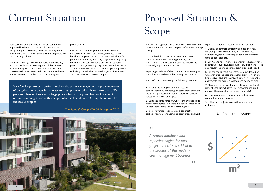### Current Situation

Very few large projects perform well to the project management triple constraints of cost, time and scope. In contrast to small projects, which have more than a 70 per cent chance of success, a large project has virtually no chance of coming in on time, on budget, and within scope; which is The Standish Group definition of a successful project.



 *The Standish Group, CHAOS Manifesto, 2013*

prone to error.

Pressure on cost management firms to provide indicative estimates is also driving the need for cost benchmarking solutions that can provide the basis for parametric modelling and early stage forecasting. Using benchmarks to sense check estimates, asses design principals and guide early stage investment decisions is a value add services that the cost manager can provide. Unlocking the valuable IP stored in years of estimates and post contract cost control reports.

connects to core cost planning tools (e.g. CostX and Cato) that allows cost managers to quickly and accurately import their estimates.

Reporting capability of this system to provide insights and value add to clients when issuing cost reports.

The platform for answering the following questions:

1. What is the average elemental rates for particular sectors, project types, asset types and work types for a particular location or across locations or across a sample set of projects

2. Using the same function, what is the average trade rates over the past 12 months in a specific location to update a rate library in a cost planning tool

3. Display average Floor rates as a bar chart for particular sectors, project types, asset types and work

The cost management firms that invest in systems and processes focused on unlocking cost information end up having: A centralised database and intuitive interface that types for a particular location or across locations 4. Display benchmark efficiency and design ratios, for example wall to floor ratio, wall area finishes comparison, perimeter over plan ratio and functional units to floor area etc.

*"*

*A central database and reporting engine for past projects metrics is critical to the success of the modern cost management business.* 

Both cost and quantity benchmarks are commonly requested by clients and can be valuable add-ons to cost plan reports. However, many Cost Management firms do not have a centralised benchmarking database and reporting solution.

When cost managers receive requests of this nature, or alternatively, when assessing the validity of a cost plan, manual processes are followed. Spreadsheets are compiled, paper based bulk checks done and word reports written . This is both time consuming and

# Proposed Situation & Scope

5. List Architects from most expensive to cheapest for a specific work type (e.g. New Build, Refurbishment etc) in a particular sector and similar asset type (e.g School)

6. List the top 10 most expensive buildings (based on whatever ratio the user chooses for example floor rate) by asset type (e.g. museums, office towers, residential apartments etc) across a location and period of time.

7. Show me the design characteristics and functional units of each project listed (e.g. excavation required, area per floor, no. of levels, no. of rooms etc)

8. Using past projects, price a new project using parameters of my choosing

9. Utilise past projects to cash flow phase new estimates.

### UniPhi is that system

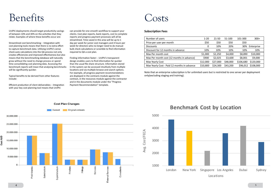

UniPhi deployments should target productivity savings of between 10% and 30% on the activities that they relate. Examples of where these benefits occur are:

Streamlined cost benchmarking: - Integration with cost planning tools means that there is no extra effort to capture benchmark data. Utilising UniPhi's sense check auto calculations into the QA process not only creates efficiencies and improved effectiveness but also means that the benchmarking database will naturally grow without the need to change process or spend time consolidating cost planning data. Accessing the benchmark reports will mean that analysing benchmarks will be significantly quicker.

Typical benefits to be derived from other features include:

Efficient production of client deliverables: - Integration with your key cost planning tool means that UniPhi

### Benefits

can provide for one smooth workflow to support your clients. Cost plan reports, bank reports, cost to complete reports and progress payment processes will all be streamlined. Time saved in this area will be up to 1 day per week for junior cost managers and 4 hours per week for directors who no longer need to do manual bulk check calculations or scramble to find information required to QA a cost plan.

Finding information faster: - UniPhi's transparent design enables users to find information far quicker than the usual file share structure. Information stored in the system can be accessed intuitively from multiple locations and via multiple browse and search options. For example, all progress payment recommendations are displayed in the contracts module against the contract, in the resources module against the contractor and in the documents module under the "Progress Payment Recommendation" template.

### Costs

### **Subscription Fees**

| Number of users                             | $1 - 20$ | 21-50    | 51-100   | 101-300<br>$300+$      |
|---------------------------------------------|----------|----------|----------|------------------------|
| Price per user per month                    | \$50     | \$50     | \$50     | \$50                   |
| <b>Discounts</b>                            | 0        | 10%      | 20%      | 30% Enterprise         |
| Discount for 12 months in advance           | 10%      | 10%      | 10%      | 10%<br>10%             |
| Max Per month cost                          | \$1,000  | \$2,250  | \$4,000  | \$10,000<br>\$8,890    |
| Max Per month cost (12 months in advance)   | \$900    | \$2,025  | \$3,600  | \$9,000<br>\$8,001     |
| Max Yearly Cost                             | \$12,000 | \$27,000 | \$48,000 | \$120,000<br>\$106,680 |
| Max Yearly Cost - Paid 12 months in advance | \$10,800 | \$24,300 | \$43,200 | \$108,000<br>\$96,012  |

Note that an enterprise subscription is for unlimited users but is restricted to one server per deployment only(excluding staging and training).



### **Benchmark Cost by Location**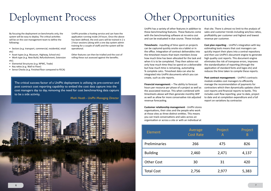| Element           | Average<br><b>Cost Rate</b> | Project<br>$\mathsf{A}$ | Project<br>B |
|-------------------|-----------------------------|-------------------------|--------------|
| Preliminaries     | 266                         | 475                     | 826          |
| <b>Building</b>   | 2,460                       | 2,471                   | 4,137        |
| <b>Other Cost</b> | 30                          | 31                      | 420          |
| <b>Total Cost</b> | 2,756                       | 2,977                   | 5,383        |



## Deployment Process

### Other Opportunities

By focusing the deployment on benchmarks only, the system will be easy to deploy. The critical activities will be on the cost management team to define the following:

• Sectors (e.g. transport, commercial, residential, retail etc)

- Asset types (e.g. Museum, Highway, School etc)
- Work type (e.g. New Build, Refurbishment, Extension etc).
- Elemental Structures (e.g. NPWC, Trade)
- Key ratios (e.g. Wall to Floor)
- Sense Checks (e.g. Finished floor compared to FECA)

UniPhi provides a hosting service and can have the application running inside 24 hours. Once the above has been defined, the end users will be trained in 2 x 2 hour sessions (along with a one day system admin training for a couple of staff) and the system will be operational.

Other features can then be trialled and the cost of rolling these out assessed against the benefits.

UniPhi has a variety of other features in addition to these benchmarking features. These features come with the benchmarking software at no extra cost and can be evaluated in due course. These include: that site. There is almost no limit to the analysis of sales and customer trends including win/loss ratios, profitability per customer and highest and lowest revenue per customer.

**Timesheets**: -inputting of time spent on projects can be captured quickly onsite via a tablet or in the office. Integration of contract deliverables into the timesheet means that team members know how much time has been allocated for the task and when it is to be completed. They then advise not only how much time they've spend on a deliverable but how much time is remaining, automating % complete calcs. Timesheet data can also be integrated into UniPhi documents which you can create, such as site reports. **Cost plan reporting**: - UniPhi's integration with key estimating tools means that cost managers can quickly import their plans into a central repository and then use UniPhi's document engine to generate high quality cost reports. This document engine eliminates the risk of transpose errors, improves the standardisation of reporting (through the application of standard fonts and logos etc) and reduces the time taken to compile these reports. **Post contract management:** - UniPhi's contracts

**Customer relationship management** - UniPhi stores organisations, their sites and the people who work at those sites as three distinct entities. This means you can track conversations and sales across an organisation or across a site or with an individual at

**Financial management:** – The ability to forecast hours per resource per phase of a project as well as the associated revenue. This when combined with timesheets above will then generate monthly WIP as well as allow for more conservative risk adjusted revenue forecasting. module enables cost managers to efficiently manage the recommendation of payments for contractors which then dynamically updates client cost reports and financial reports to banks. This includes cash flow reporting, year to date, project to date and at completion expenditure and a full report on variations by contractor.

The critical success factor of a UniPhi deployment is utilising its pre-contract and post contract cost reporting capability to embed the cost data capture into the cost managers day to day, removing the need for cost benchmarking data capture to be a side activity,

### *Mark Heath - UniPhi Managing Director*